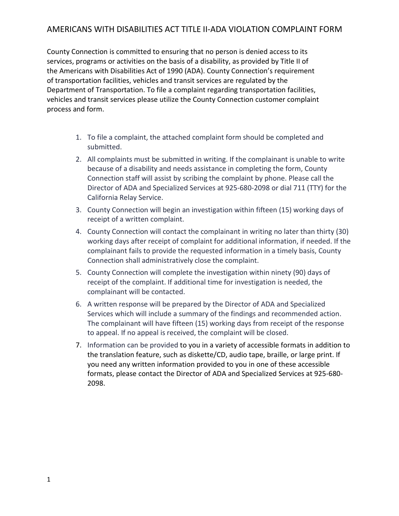## AMERICANS WITH DISABILITIES ACT TITLE II-ADA VIOLATION COMPLAINT FORM

County Connection is committed to ensuring that no person is denied access to its services, programs or activities on the basis of a disability, as provided by Title II of the Americans with Disabilities Act of 1990 (ADA). County Connection's requirement of transportation facilities, vehicles and transit services are regulated by the Department of Transportation. To file a complaint regarding transportation facilities, vehicles and transit services please utilize the County Connection customer complaint process and form.

- 1. To file a complaint, the attached complaint form should be completed and submitted.
- 2. All complaints must be submitted in writing. If the complainant is unable to write because of a disability and needs assistance in completing the form, County Connection staff will assist by scribing the complaint by phone. Please call the Director of ADA and Specialized Services at 925-680-2098 or dial 711 (TTY) for the California Relay Service.
- 3. County Connection will begin an investigation within fifteen (15) working days of receipt of a written complaint.
- 4. County Connection will contact the complainant in writing no later than thirty (30) working days after receipt of complaint for additional information, if needed. If the complainant fails to provide the requested information in a timely basis, County Connection shall administratively close the complaint.
- 5. County Connection will complete the investigation within ninety (90) days of receipt of the complaint. If additional time for investigation is needed, the complainant will be contacted.
- 6. A written response will be prepared by the Director of ADA and Specialized Services which will include a summary of the findings and recommended action. The complainant will have fifteen (15) working days from receipt of the response to appeal. If no appeal is received, the complaint will be closed.
- 7. Information can be provided to you in a variety of accessible formats in addition to the translation feature, such as diskette/CD, audio tape, braille, or large print. If you need any written information provided to you in one of these accessible formats, please contact the Director of ADA and Specialized Services at 925-680- 2098.